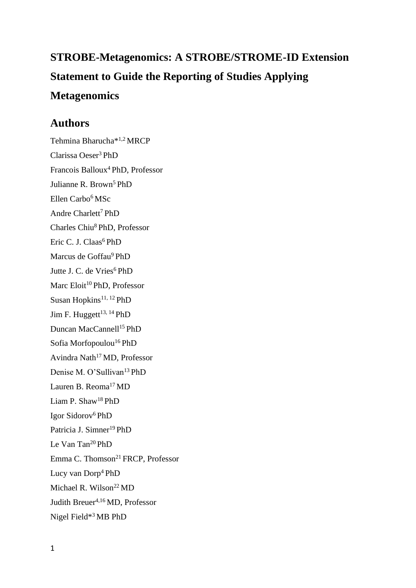# **STROBE-Metagenomics: A STROBE/STROME-ID Extension Statement to Guide the Reporting of Studies Applying Metagenomics**

## **Authors**

Tehmina Bharucha\*1,2 MRCP Clarissa Oeser<sup>3</sup> PhD Francois Balloux<sup>4</sup> PhD, Professor Julianne R. Brown<sup>5</sup> PhD Ellen Carbo<sup>6</sup>MSc Andre Charlett<sup>7</sup> PhD Charles Chiu<sup>8</sup> PhD, Professor Eric C. J. Claas<sup>6</sup> PhD Marcus de Goffau<sup>9</sup> PhD Jutte J. C. de Vries<sup>6</sup> PhD Marc Eloit<sup>10</sup> PhD, Professor Susan Hopkins<sup>11, 12</sup> PhD Jim F. Huggett<sup>13, 14</sup> PhD Duncan MacCannell<sup>15</sup> PhD Sofia Morfopoulou<sup>16</sup> PhD Avindra Nath<sup>17</sup> MD, Professor Denise M. O'Sullivan<sup>13</sup> PhD Lauren B. Reoma<sup>17</sup>MD Liam P. Shaw<sup>18</sup> PhD Igor Sidorov<sup>6</sup>PhD Patricia J. Simner<sup>19</sup> PhD Le Van Tan<sup>20</sup> PhD Emma C. Thomson<sup>21</sup> FRCP, Professor Lucy van Dorp<sup>4</sup> PhD Michael R. Wilson<sup>22</sup> MD Judith Breuer<sup>4,16</sup> MD, Professor Nigel Field\*3 MB PhD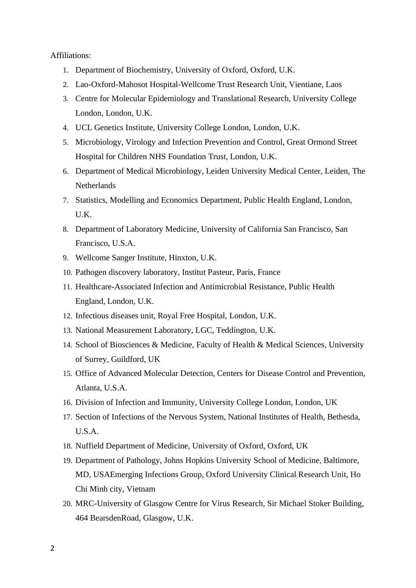#### Affiliations:

- 1. Department of Biochemistry, University of Oxford, Oxford, U.K.
- 2. Lao-Oxford-Mahosot Hospital-Wellcome Trust Research Unit, Vientiane, Laos
- 3. Centre for Molecular Epidemiology and Translational Research, University College London, London, U.K.
- 4. UCL Genetics Institute, University College London, London, U.K.
- 5. Microbiology, Virology and Infection Prevention and Control, Great Ormond Street Hospital for Children NHS Foundation Trust, London, U.K.
- 6. Department of Medical Microbiology, Leiden University Medical Center, Leiden, The Netherlands
- 7. Statistics, Modelling and Economics Department, Public Health England, London, U.K.
- 8. Department of Laboratory Medicine, University of California San Francisco, San Francisco, U.S.A.
- 9. Wellcome Sanger Institute, Hinxton, U.K.
- 10. Pathogen discovery laboratory, Institut Pasteur, Paris, France
- 11. Healthcare-Associated Infection and Antimicrobial Resistance, Public Health England, London, U.K.
- 12. Infectious diseases unit, Royal Free Hospital, London, U.K.
- 13. National Measurement Laboratory, LGC, Teddington, U.K.
- 14. School of Biosciences & Medicine, Faculty of Health & Medical Sciences, University of Surrey, Guildford, UK
- 15. Office of Advanced Molecular Detection, Centers for Disease Control and Prevention, Atlanta, U.S.A.
- 16. Division of Infection and Immunity, University College London, London, UK
- 17. Section of Infections of the Nervous System, National Institutes of Health, Bethesda, U.S.A.
- 18. Nuffield Department of Medicine, University of Oxford, Oxford, UK
- 19. Department of Pathology, Johns Hopkins University School of Medicine, Baltimore, MD, USAEmerging Infections Group, Oxford University Clinical Research Unit, Ho Chi Minh city, Vietnam
- 20. MRC-University of Glasgow Centre for Virus Research, Sir Michael Stoker Building, 464 BearsdenRoad, Glasgow, U.K.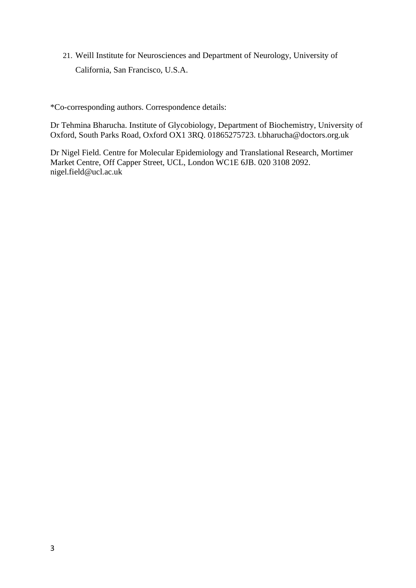21. Weill Institute for Neurosciences and Department of Neurology, University of California, San Francisco, U.S.A.

\*Co-corresponding authors. Correspondence details:

Dr Tehmina Bharucha. Institute of Glycobiology, Department of Biochemistry, University of Oxford, South Parks Road, Oxford OX1 3RQ. 01865275723. t.bharucha@doctors.org.uk

Dr Nigel Field. Centre for Molecular Epidemiology and Translational Research, Mortimer Market Centre, Off Capper Street, UCL, London WC1E 6JB. 020 3108 2092. nigel.field@ucl.ac.uk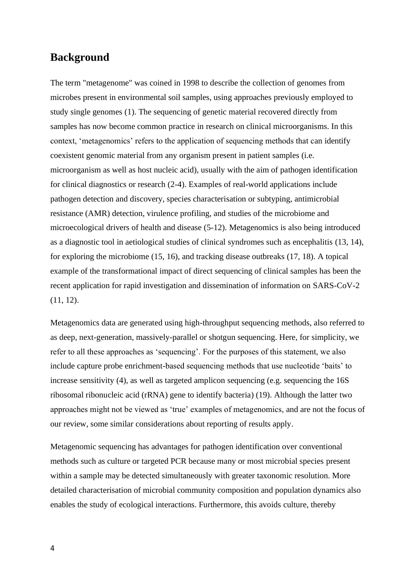## **Background**

The term "metagenome" was coined in 1998 to describe the collection of genomes from microbes present in environmental soil samples, using approaches previously employed to study single genomes (1). The sequencing of genetic material recovered directly from samples has now become common practice in research on clinical microorganisms. In this context, 'metagenomics' refers to the application of sequencing methods that can identify coexistent genomic material from any organism present in patient samples (i.e. microorganism as well as host nucleic acid), usually with the aim of pathogen identification for clinical diagnostics or research (2-4). Examples of real-world applications include pathogen detection and discovery, species characterisation or subtyping, antimicrobial resistance (AMR) detection, virulence profiling, and studies of the microbiome and microecological drivers of health and disease (5-12). Metagenomics is also being introduced as a diagnostic tool in aetiological studies of clinical syndromes such as encephalitis (13, 14), for exploring the microbiome (15, 16), and tracking disease outbreaks (17, 18). A topical example of the transformational impact of direct sequencing of clinical samples has been the recent application for rapid investigation and dissemination of information on SARS-CoV-2 (11, 12).

Metagenomics data are generated using high-throughput sequencing methods, also referred to as deep, next-generation, massively-parallel or shotgun sequencing. Here, for simplicity, we refer to all these approaches as 'sequencing'. For the purposes of this statement, we also include capture probe enrichment-based sequencing methods that use nucleotide 'baits' to increase sensitivity (4), as well as targeted amplicon sequencing (e.g. sequencing the 16S ribosomal ribonucleic acid (rRNA) gene to identify bacteria) (19). Although the latter two approaches might not be viewed as 'true' examples of metagenomics, and are not the focus of our review, some similar considerations about reporting of results apply.

Metagenomic sequencing has advantages for pathogen identification over conventional methods such as culture or targeted PCR because many or most microbial species present within a sample may be detected simultaneously with greater taxonomic resolution. More detailed characterisation of microbial community composition and population dynamics also enables the study of ecological interactions. Furthermore, this avoids culture, thereby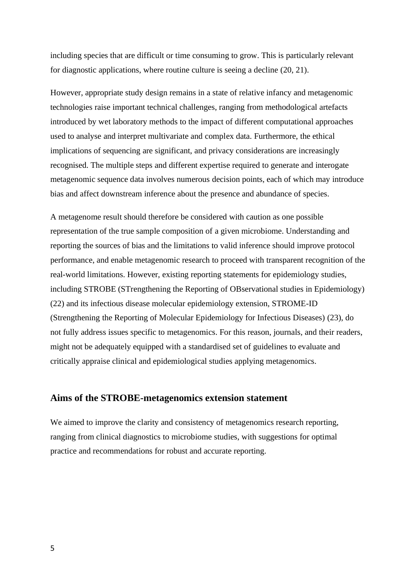including species that are difficult or time consuming to grow. This is particularly relevant for diagnostic applications, where routine culture is seeing a decline (20, 21).

However, appropriate study design remains in a state of relative infancy and metagenomic technologies raise important technical challenges, ranging from methodological artefacts introduced by wet laboratory methods to the impact of different computational approaches used to analyse and interpret multivariate and complex data. Furthermore, the ethical implications of sequencing are significant, and privacy considerations are increasingly recognised. The multiple steps and different expertise required to generate and interogate metagenomic sequence data involves numerous decision points, each of which may introduce bias and affect downstream inference about the presence and abundance of species.

A metagenome result should therefore be considered with caution as one possible representation of the true sample composition of a given microbiome. Understanding and reporting the sources of bias and the limitations to valid inference should improve protocol performance, and enable metagenomic research to proceed with transparent recognition of the real-world limitations. However, existing reporting statements for epidemiology studies, including STROBE (STrengthening the Reporting of OBservational studies in Epidemiology) (22) and its infectious disease molecular epidemiology extension, STROME-ID (Strengthening the Reporting of Molecular Epidemiology for Infectious Diseases) (23), do not fully address issues specific to metagenomics. For this reason, journals, and their readers, might not be adequately equipped with a standardised set of guidelines to evaluate and critically appraise clinical and epidemiological studies applying metagenomics.

#### **Aims of the STROBE-metagenomics extension statement**

We aimed to improve the clarity and consistency of metagenomics research reporting, ranging from clinical diagnostics to microbiome studies, with suggestions for optimal practice and recommendations for robust and accurate reporting.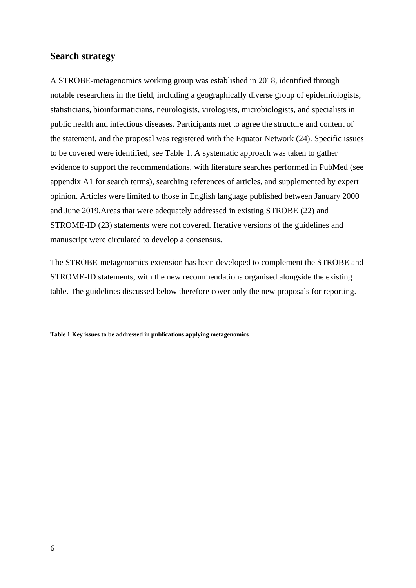#### **Search strategy**

A STROBE-metagenomics working group was established in 2018, identified through notable researchers in the field, including a geographically diverse group of epidemiologists, statisticians, bioinformaticians, neurologists, virologists, microbiologists, and specialists in public health and infectious diseases. Participants met to agree the structure and content of the statement, and the proposal was registered with the Equator Network (24). Specific issues to be covered were identified, see Table 1. A systematic approach was taken to gather evidence to support the recommendations, with literature searches performed in PubMed (see appendix A1 for search terms), searching references of articles, and supplemented by expert opinion. Articles were limited to those in English language published between January 2000 and June 2019.Areas that were adequately addressed in existing STROBE (22) and STROME-ID (23) statements were not covered. Iterative versions of the guidelines and manuscript were circulated to develop a consensus.

The STROBE-metagenomics extension has been developed to complement the STROBE and STROME-ID statements, with the new recommendations organised alongside the existing table. The guidelines discussed below therefore cover only the new proposals for reporting.

**Table 1 Key issues to be addressed in publications applying metagenomics**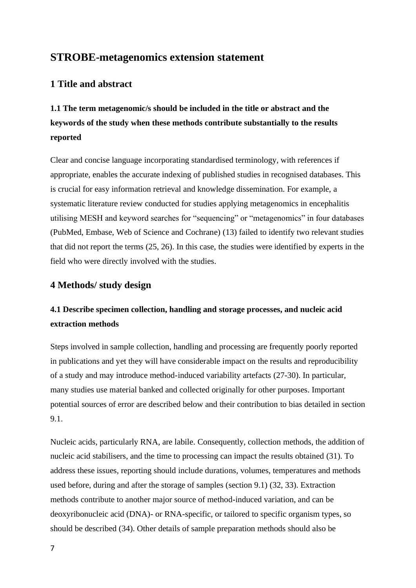## **STROBE-metagenomics extension statement**

### **1 Title and abstract**

**1.1 The term metagenomic/s should be included in the title or abstract and the keywords of the study when these methods contribute substantially to the results reported**

Clear and concise language incorporating standardised terminology, with references if appropriate, enables the accurate indexing of published studies in recognised databases. This is crucial for easy information retrieval and knowledge dissemination. For example, a systematic literature review conducted for studies applying metagenomics in encephalitis utilising MESH and keyword searches for "sequencing" or "metagenomics" in four databases (PubMed, Embase, Web of Science and Cochrane) (13) failed to identify two relevant studies that did not report the terms (25, 26). In this case, the studies were identified by experts in the field who were directly involved with the studies.

#### **4 Methods/ study design**

## **4.1 Describe specimen collection, handling and storage processes, and nucleic acid extraction methods**

Steps involved in sample collection, handling and processing are frequently poorly reported in publications and yet they will have considerable impact on the results and reproducibility of a study and may introduce method-induced variability artefacts (27-30). In particular, many studies use material banked and collected originally for other purposes. Important potential sources of error are described below and their contribution to bias detailed in section 9.1.

Nucleic acids, particularly RNA, are labile. Consequently, collection methods, the addition of nucleic acid stabilisers, and the time to processing can impact the results obtained (31). To address these issues, reporting should include durations, volumes, temperatures and methods used before, during and after the storage of samples (section 9.1) (32, 33). Extraction methods contribute to another major source of method-induced variation, and can be deoxyribonucleic acid (DNA)- or RNA-specific, or tailored to specific organism types, so should be described (34). Other details of sample preparation methods should also be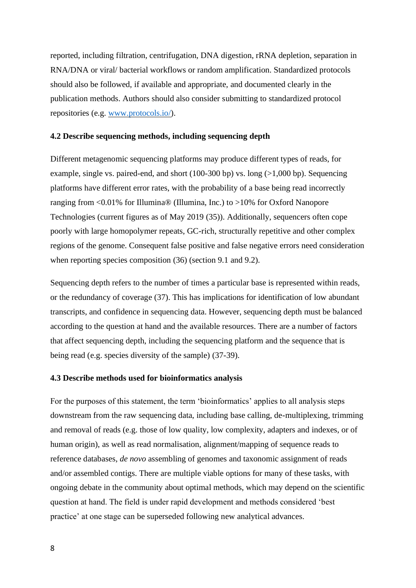reported, including filtration, centrifugation, DNA digestion, rRNA depletion, separation in RNA/DNA or viral/ bacterial workflows or random amplification. Standardized protocols should also be followed, if available and appropriate, and documented clearly in the publication methods. Authors should also consider submitting to standardized protocol repositories (e.g. [www.protocols.io/\)](http://www.protocols.io/).

#### **4.2 Describe sequencing methods, including sequencing depth**

Different metagenomic sequencing platforms may produce different types of reads, for example, single vs. paired-end, and short  $(100-300 \text{ bp})$  vs. long  $(>1,000 \text{ bp})$ . Sequencing platforms have different error rates, with the probability of a base being read incorrectly ranging from  $\langle 0.01\%$  for Illumina® (Illumina, Inc.) to  $>10\%$  for Oxford Nanopore Technologies (current figures as of May 2019 (35)). Additionally, sequencers often cope poorly with large homopolymer repeats, GC-rich, structurally repetitive and other complex regions of the genome. Consequent false positive and false negative errors need consideration when reporting species composition (36) (section 9.1 and 9.2).

Sequencing depth refers to the number of times a particular base is represented within reads, or the redundancy of coverage (37). This has implications for identification of low abundant transcripts, and confidence in sequencing data. However, sequencing depth must be balanced according to the question at hand and the available resources. There are a number of factors that affect sequencing depth, including the sequencing platform and the sequence that is being read (e.g. species diversity of the sample) (37-39).

#### **4.3 Describe methods used for bioinformatics analysis**

For the purposes of this statement, the term 'bioinformatics' applies to all analysis steps downstream from the raw sequencing data, including base calling, de-multiplexing, trimming and removal of reads (e.g. those of low quality, low complexity, adapters and indexes, or of human origin), as well as read normalisation, alignment/mapping of sequence reads to reference databases, *de novo* assembling of genomes and taxonomic assignment of reads and/or assembled contigs. There are multiple viable options for many of these tasks, with ongoing debate in the community about optimal methods, which may depend on the scientific question at hand. The field is under rapid development and methods considered 'best practice' at one stage can be superseded following new analytical advances.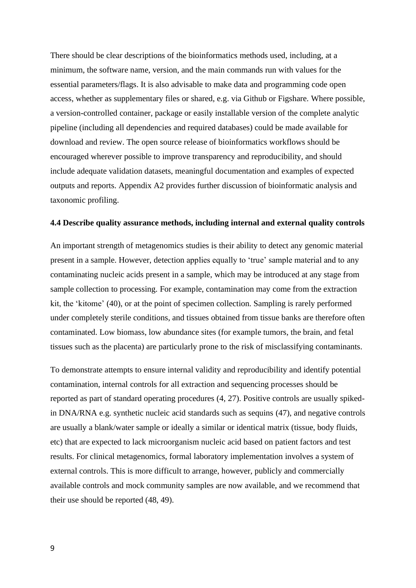There should be clear descriptions of the bioinformatics methods used, including, at a minimum, the software name, version, and the main commands run with values for the essential parameters/flags. It is also advisable to make data and programming code open access, whether as supplementary files or shared, e.g. via Github or Figshare. Where possible, a version-controlled container, package or easily installable version of the complete analytic pipeline (including all dependencies and required databases) could be made available for download and review. The open source release of bioinformatics workflows should be encouraged wherever possible to improve transparency and reproducibility, and should include adequate validation datasets, meaningful documentation and examples of expected outputs and reports. Appendix A2 provides further discussion of bioinformatic analysis and taxonomic profiling.

#### **4.4 Describe quality assurance methods, including internal and external quality controls**

An important strength of metagenomics studies is their ability to detect any genomic material present in a sample. However, detection applies equally to 'true' sample material and to any contaminating nucleic acids present in a sample, which may be introduced at any stage from sample collection to processing. For example, contamination may come from the extraction kit, the 'kitome' (40), or at the point of specimen collection. Sampling is rarely performed under completely sterile conditions, and tissues obtained from tissue banks are therefore often contaminated. Low biomass, low abundance sites (for example tumors, the brain, and fetal tissues such as the placenta) are particularly prone to the risk of misclassifying contaminants.

To demonstrate attempts to ensure internal validity and reproducibility and identify potential contamination, internal controls for all extraction and sequencing processes should be reported as part of standard operating procedures (4, 27). Positive controls are usually spikedin DNA/RNA e.g. synthetic nucleic acid standards such as sequins (47), and negative controls are usually a blank/water sample or ideally a similar or identical matrix (tissue, body fluids, etc) that are expected to lack microorganism nucleic acid based on patient factors and test results. For clinical metagenomics, formal laboratory implementation involves a system of external controls. This is more difficult to arrange, however, publicly and commercially available controls and mock community samples are now available, and we recommend that their use should be reported (48, 49).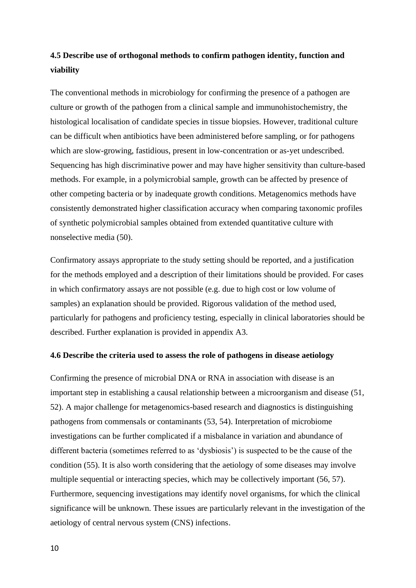## **4.5 Describe use of orthogonal methods to confirm pathogen identity, function and viability**

The conventional methods in microbiology for confirming the presence of a pathogen are culture or growth of the pathogen from a clinical sample and immunohistochemistry, the histological localisation of candidate species in tissue biopsies. However, traditional culture can be difficult when antibiotics have been administered before sampling, or for pathogens which are slow-growing, fastidious, present in low-concentration or as-yet undescribed. Sequencing has high discriminative power and may have higher sensitivity than culture-based methods. For example, in a polymicrobial sample, growth can be affected by presence of other competing bacteria or by inadequate growth conditions. Metagenomics methods have consistently demonstrated higher classification accuracy when comparing taxonomic profiles of synthetic polymicrobial samples obtained from extended quantitative culture with nonselective media (50).

Confirmatory assays appropriate to the study setting should be reported, and a justification for the methods employed and a description of their limitations should be provided. For cases in which confirmatory assays are not possible (e.g. due to high cost or low volume of samples) an explanation should be provided. Rigorous validation of the method used, particularly for pathogens and proficiency testing, especially in clinical laboratories should be described. Further explanation is provided in appendix A3.

#### **4.6 Describe the criteria used to assess the role of pathogens in disease aetiology**

Confirming the presence of microbial DNA or RNA in association with disease is an important step in establishing a causal relationship between a microorganism and disease (51, 52). A major challenge for metagenomics-based research and diagnostics is distinguishing pathogens from commensals or contaminants (53, 54). Interpretation of microbiome investigations can be further complicated if a misbalance in variation and abundance of different bacteria (sometimes referred to as 'dysbiosis') is suspected to be the cause of the condition (55). It is also worth considering that the aetiology of some diseases may involve multiple sequential or interacting species, which may be collectively important (56, 57). Furthermore, sequencing investigations may identify novel organisms, for which the clinical significance will be unknown. These issues are particularly relevant in the investigation of the aetiology of central nervous system (CNS) infections.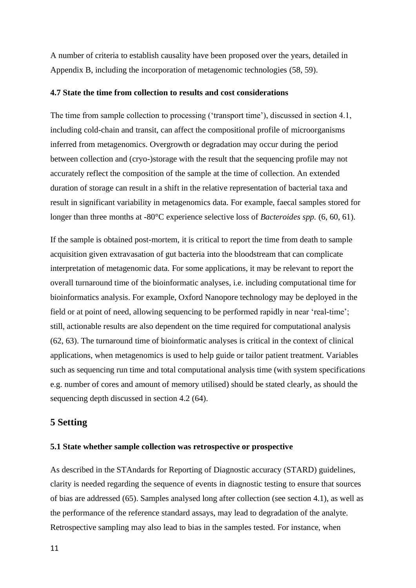A number of criteria to establish causality have been proposed over the years, detailed in Appendix B, including the incorporation of metagenomic technologies (58, 59).

#### **4.7 State the time from collection to results and cost considerations**

The time from sample collection to processing ('transport time'), discussed in section 4.1, including cold-chain and transit, can affect the compositional profile of microorganisms inferred from metagenomics. Overgrowth or degradation may occur during the period between collection and (cryo-)storage with the result that the sequencing profile may not accurately reflect the composition of the sample at the time of collection. An extended duration of storage can result in a shift in the relative representation of bacterial taxa and result in significant variability in metagenomics data. For example, faecal samples stored for longer than three months at -80°C experience selective loss of *Bacteroides spp.* (6, 60, 61).

If the sample is obtained post-mortem, it is critical to report the time from death to sample acquisition given extravasation of gut bacteria into the bloodstream that can complicate interpretation of metagenomic data. For some applications, it may be relevant to report the overall turnaround time of the bioinformatic analyses, i.e. including computational time for bioinformatics analysis. For example, Oxford Nanopore technology may be deployed in the field or at point of need, allowing sequencing to be performed rapidly in near 'real-time'; still, actionable results are also dependent on the time required for computational analysis (62, 63). The turnaround time of bioinformatic analyses is critical in the context of clinical applications, when metagenomics is used to help guide or tailor patient treatment. Variables such as sequencing run time and total computational analysis time (with system specifications e.g. number of cores and amount of memory utilised) should be stated clearly, as should the sequencing depth discussed in section 4.2 (64).

#### **5 Setting**

#### **5.1 State whether sample collection was retrospective or prospective**

As described in the STAndards for Reporting of Diagnostic accuracy (STARD) guidelines, clarity is needed regarding the sequence of events in diagnostic testing to ensure that sources of bias are addressed (65). Samples analysed long after collection (see section 4.1), as well as the performance of the reference standard assays, may lead to degradation of the analyte. Retrospective sampling may also lead to bias in the samples tested. For instance, when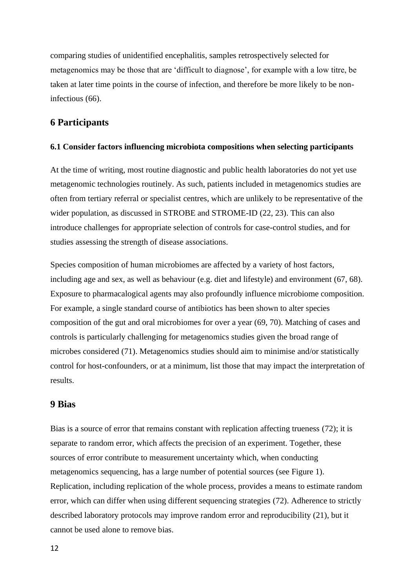comparing studies of unidentified encephalitis, samples retrospectively selected for metagenomics may be those that are 'difficult to diagnose', for example with a low titre, be taken at later time points in the course of infection, and therefore be more likely to be noninfectious (66).

#### **6 Participants**

#### **6.1 Consider factors influencing microbiota compositions when selecting participants**

At the time of writing, most routine diagnostic and public health laboratories do not yet use metagenomic technologies routinely. As such, patients included in metagenomics studies are often from tertiary referral or specialist centres, which are unlikely to be representative of the wider population, as discussed in STROBE and STROME-ID (22, 23). This can also introduce challenges for appropriate selection of controls for case-control studies, and for studies assessing the strength of disease associations.

Species composition of human microbiomes are affected by a variety of host factors, including age and sex, as well as behaviour (e.g. diet and lifestyle) and environment (67, 68). Exposure to pharmacalogical agents may also profoundly influence microbiome composition. For example, a single standard course of antibiotics has been shown to alter species composition of the gut and oral microbiomes for over a year (69, 70). Matching of cases and controls is particularly challenging for metagenomics studies given the broad range of microbes considered (71). Metagenomics studies should aim to minimise and/or statistically control for host-confounders, or at a minimum, list those that may impact the interpretation of results.

#### **9 Bias**

Bias is a source of error that remains constant with replication affecting trueness (72); it is separate to random error, which affects the precision of an experiment. Together, these sources of error contribute to measurement uncertainty which, when conducting metagenomics sequencing, has a large number of potential sources (see Figure 1). Replication, including replication of the whole process, provides a means to estimate random error, which can differ when using different sequencing strategies (72). Adherence to strictly described laboratory protocols may improve random error and reproducibility (21), but it cannot be used alone to remove bias.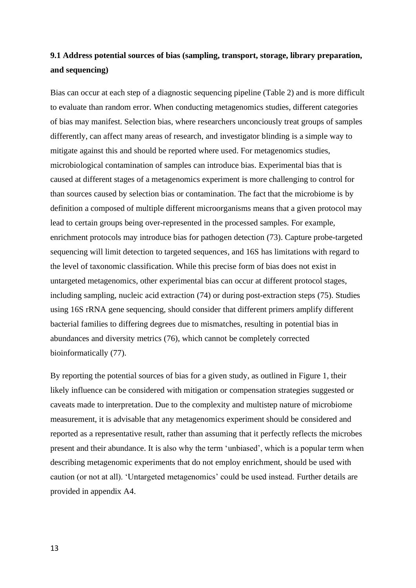## **9.1 Address potential sources of bias (sampling, transport, storage, library preparation, and sequencing)**

Bias can occur at each step of a diagnostic sequencing pipeline (Table 2) and is more difficult to evaluate than random error. When conducting metagenomics studies, different categories of bias may manifest. Selection bias, where researchers unconciously treat groups of samples differently, can affect many areas of research, and investigator blinding is a simple way to mitigate against this and should be reported where used. For metagenomics studies, microbiological contamination of samples can introduce bias. Experimental bias that is caused at different stages of a metagenomics experiment is more challenging to control for than sources caused by selection bias or contamination. The fact that the microbiome is by definition a composed of multiple different microorganisms means that a given protocol may lead to certain groups being over-represented in the processed samples. For example, enrichment protocols may introduce bias for pathogen detection (73). Capture probe-targeted sequencing will limit detection to targeted sequences, and 16S has limitations with regard to the level of taxonomic classification. While this precise form of bias does not exist in untargeted metagenomics, other experimental bias can occur at different protocol stages, including sampling, nucleic acid extraction (74) or during post-extraction steps (75). Studies using 16S rRNA gene sequencing, should consider that different primers amplify different bacterial families to differing degrees due to mismatches, resulting in potential bias in abundances and diversity metrics (76), which cannot be completely corrected bioinformatically (77).

By reporting the potential sources of bias for a given study, as outlined in Figure 1, their likely influence can be considered with mitigation or compensation strategies suggested or caveats made to interpretation. Due to the complexity and multistep nature of microbiome measurement, it is advisable that any metagenomics experiment should be considered and reported as a representative result, rather than assuming that it perfectly reflects the microbes present and their abundance. It is also why the term 'unbiased', which is a popular term when describing metagenomic experiments that do not employ enrichment, should be used with caution (or not at all). 'Untargeted metagenomics' could be used instead. Further details are provided in appendix A4.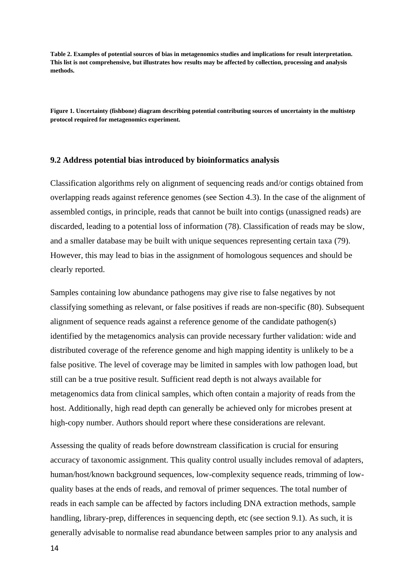**Table 2. Examples of potential sources of bias in metagenomics studies and implications for result interpretation. This list is not comprehensive, but illustrates how results may be affected by collection, processing and analysis methods.**

**Figure 1. Uncertainty (fishbone) diagram describing potential contributing sources of uncertainty in the multistep protocol required for metagenomics experiment.** 

#### **9.2 Address potential bias introduced by bioinformatics analysis**

Classification algorithms rely on alignment of sequencing reads and/or contigs obtained from overlapping reads against reference genomes (see Section 4.3). In the case of the alignment of assembled contigs, in principle, reads that cannot be built into contigs (unassigned reads) are discarded, leading to a potential loss of information (78). Classification of reads may be slow, and a smaller database may be built with unique sequences representing certain taxa (79). However, this may lead to bias in the assignment of homologous sequences and should be clearly reported.

Samples containing low abundance pathogens may give rise to false negatives by not classifying something as relevant, or false positives if reads are non-specific (80). Subsequent alignment of sequence reads against a reference genome of the candidate pathogen(s) identified by the metagenomics analysis can provide necessary further validation: wide and distributed coverage of the reference genome and high mapping identity is unlikely to be a false positive. The level of coverage may be limited in samples with low pathogen load, but still can be a true positive result. Sufficient read depth is not always available for metagenomics data from clinical samples, which often contain a majority of reads from the host. Additionally, high read depth can generally be achieved only for microbes present at high-copy number. Authors should report where these considerations are relevant.

Assessing the quality of reads before downstream classification is crucial for ensuring accuracy of taxonomic assignment. This quality control usually includes removal of adapters, human/host/known background sequences, low-complexity sequence reads, trimming of lowquality bases at the ends of reads, and removal of primer sequences. The total number of reads in each sample can be affected by factors including DNA extraction methods, sample handling, library-prep, differences in sequencing depth, etc (see section 9.1). As such, it is generally advisable to normalise read abundance between samples prior to any analysis and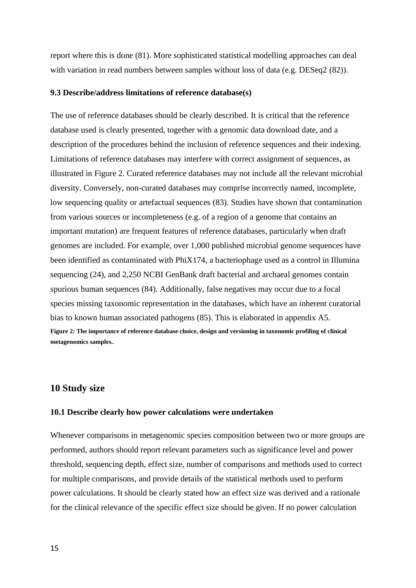report where this is done (81). More sophisticated statistical modelling approaches can deal with variation in read numbers between samples without loss of data (e.g. DESeq2 (82)).

#### **9.3 Describe/address limitations of reference database(s)**

The use of reference databases should be clearly described. It is critical that the reference database used is clearly presented, together with a genomic data download date, and a description of the procedures behind the inclusion of reference sequences and their indexing. Limitations of reference databases may interfere with correct assignment of sequences, as illustrated in Figure 2. Curated reference databases may not include all the relevant microbial diversity. Conversely, non-curated databases may comprise incorrectly named, incomplete, low sequencing quality or artefactual sequences (83). Studies have shown that contamination from various sources or incompleteness (e.g. of a region of a genome that contains an important mutation) are frequent features of reference databases, particularly when draft genomes are included. For example, over 1,000 published microbial genome sequences have been identified as contaminated with PhiX174, a bacteriophage used as a control in Illumina sequencing (24), and 2,250 NCBI GenBank draft bacterial and archaeal genomes contain spurious human sequences (84). Additionally, false negatives may occur due to a focal species missing taxonomic representation in the databases, which have an inherent curatorial bias to known human associated pathogens (85). This is elaborated in appendix A5. **Figure 2: The importance of reference database choice, design and versioning in taxonomic profiling of clinical metagenomics samples.**.

#### **10 Study size**

#### **10.1 Describe clearly how power calculations were undertaken**

Whenever comparisons in metagenomic species composition between two or more groups are performed, authors should report relevant parameters such as significance level and power threshold, sequencing depth, effect size, number of comparisons and methods used to correct for multiple comparisons, and provide details of the statistical methods used to perform power calculations. It should be clearly stated how an effect size was derived and a rationale for the clinical relevance of the specific effect size should be given. If no power calculation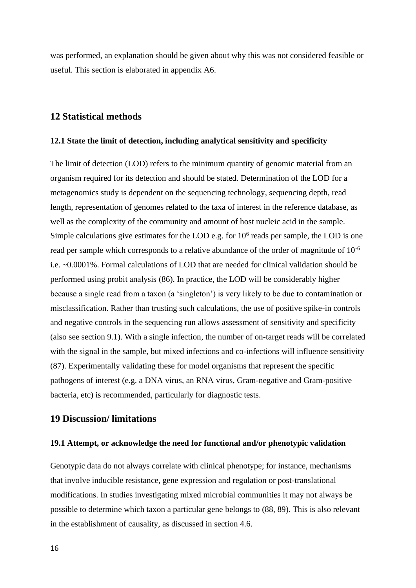was performed, an explanation should be given about why this was not considered feasible or useful. This section is elaborated in appendix A6.

#### **12 Statistical methods**

#### **12.1 State the limit of detection, including analytical sensitivity and specificity**

The limit of detection (LOD) refers to the minimum quantity of genomic material from an organism required for its detection and should be stated. Determination of the LOD for a metagenomics study is dependent on the sequencing technology, sequencing depth, read length, representation of genomes related to the taxa of interest in the reference database, as well as the complexity of the community and amount of host nucleic acid in the sample. Simple calculations give estimates for the LOD e.g. for  $10<sup>6</sup>$  reads per sample, the LOD is one read per sample which corresponds to a relative abundance of the order of magnitude of 10-6 i.e. ~0.0001%. Formal calculations of LOD that are needed for clinical validation should be performed using probit analysis (86). In practice, the LOD will be considerably higher because a single read from a taxon (a 'singleton') is very likely to be due to contamination or misclassification. Rather than trusting such calculations, the use of positive spike-in controls and negative controls in the sequencing run allows assessment of sensitivity and specificity (also see section 9.1). With a single infection, the number of on-target reads will be correlated with the signal in the sample, but mixed infections and co-infections will influence sensitivity (87). Experimentally validating these for model organisms that represent the specific pathogens of interest (e.g. a DNA virus, an RNA virus, Gram-negative and Gram-positive bacteria, etc) is recommended, particularly for diagnostic tests.

#### **19 Discussion/ limitations**

#### **19.1 Attempt, or acknowledge the need for functional and/or phenotypic validation**

Genotypic data do not always correlate with clinical phenotype; for instance, mechanisms that involve inducible resistance, gene expression and regulation or post-translational modifications. In studies investigating mixed microbial communities it may not always be possible to determine which taxon a particular gene belongs to (88, 89). This is also relevant in the establishment of causality, as discussed in section 4.6.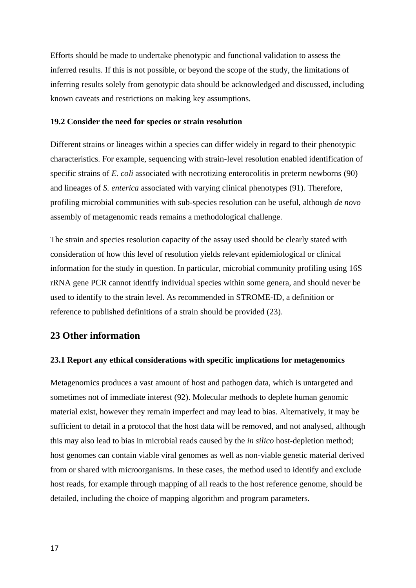Efforts should be made to undertake phenotypic and functional validation to assess the inferred results. If this is not possible, or beyond the scope of the study, the limitations of inferring results solely from genotypic data should be acknowledged and discussed, including known caveats and restrictions on making key assumptions.

#### **19.2 Consider the need for species or strain resolution**

Different strains or lineages within a species can differ widely in regard to their phenotypic characteristics. For example, sequencing with strain-level resolution enabled identification of specific strains of *E. coli* associated with necrotizing enterocolitis in preterm newborns (90) and lineages of *S. enterica* associated with varying clinical phenotypes (91). Therefore, profiling microbial communities with sub-species resolution can be useful, although *de novo*  assembly of metagenomic reads remains a methodological challenge.

The strain and species resolution capacity of the assay used should be clearly stated with consideration of how this level of resolution yields relevant epidemiological or clinical information for the study in question. In particular, microbial community profiling using 16S rRNA gene PCR cannot identify individual species within some genera, and should never be used to identify to the strain level. As recommended in STROME-ID, a definition or reference to published definitions of a strain should be provided (23).

#### **23 Other information**

#### **23.1 Report any ethical considerations with specific implications for metagenomics**

Metagenomics produces a vast amount of host and pathogen data, which is untargeted and sometimes not of immediate interest (92). Molecular methods to deplete human genomic material exist, however they remain imperfect and may lead to bias. Alternatively, it may be sufficient to detail in a protocol that the host data will be removed, and not analysed, although this may also lead to bias in microbial reads caused by the *in silico* host-depletion method; host genomes can contain viable viral genomes as well as non-viable genetic material derived from or shared with microorganisms. In these cases, the method used to identify and exclude host reads, for example through mapping of all reads to the host reference genome, should be detailed, including the choice of mapping algorithm and program parameters.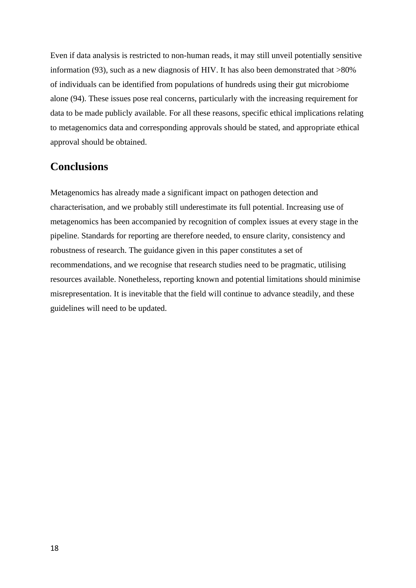Even if data analysis is restricted to non-human reads, it may still unveil potentially sensitive information (93), such as a new diagnosis of HIV. It has also been demonstrated that >80% of individuals can be identified from populations of hundreds using their gut microbiome alone (94). These issues pose real concerns, particularly with the increasing requirement for data to be made publicly available. For all these reasons, specific ethical implications relating to metagenomics data and corresponding approvals should be stated, and appropriate ethical approval should be obtained.

## **Conclusions**

Metagenomics has already made a significant impact on pathogen detection and characterisation, and we probably still underestimate its full potential. Increasing use of metagenomics has been accompanied by recognition of complex issues at every stage in the pipeline. Standards for reporting are therefore needed, to ensure clarity, consistency and robustness of research. The guidance given in this paper constitutes a set of recommendations, and we recognise that research studies need to be pragmatic, utilising resources available. Nonetheless, reporting known and potential limitations should minimise misrepresentation. It is inevitable that the field will continue to advance steadily, and these guidelines will need to be updated.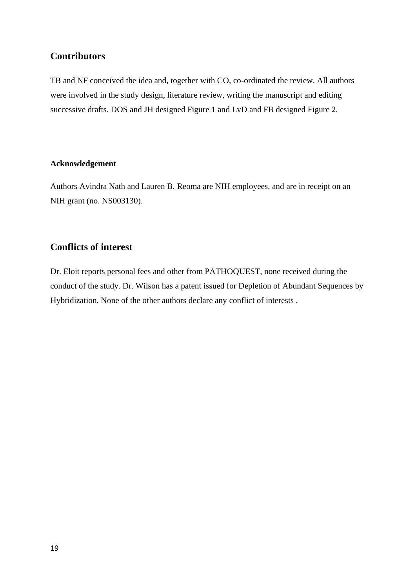### **Contributors**

TB and NF conceived the idea and, together with CO, co-ordinated the review. All authors were involved in the study design, literature review, writing the manuscript and editing successive drafts. DOS and JH designed Figure 1 and LvD and FB designed Figure 2.

#### **Acknowledgement**

Authors Avindra Nath and Lauren B. Reoma are NIH employees, and are in receipt on an NIH grant (no. NS003130).

## **Conflicts of interest**

Dr. Eloit reports personal fees and other from PATHOQUEST, none received during the conduct of the study. Dr. Wilson has a patent issued for Depletion of Abundant Sequences by Hybridization. None of the other authors declare any conflict of interests .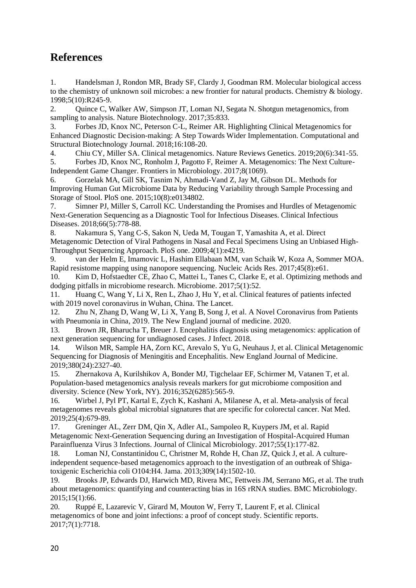## **References**

1. Handelsman J, Rondon MR, Brady SF, Clardy J, Goodman RM. Molecular biological access to the chemistry of unknown soil microbes: a new frontier for natural products. Chemistry & biology. 1998;5(10):R245-9.

2. Quince C, Walker AW, Simpson JT, Loman NJ, Segata N. Shotgun metagenomics, from sampling to analysis. Nature Biotechnology. 2017;35:833.

3. Forbes JD, Knox NC, Peterson C-L, Reimer AR. Highlighting Clinical Metagenomics for Enhanced Diagnostic Decision-making: A Step Towards Wider Implementation. Computational and Structural Biotechnology Journal. 2018;16:108-20.

4. Chiu CY, Miller SA. Clinical metagenomics. Nature Reviews Genetics. 2019;20(6):341-55.

5. Forbes JD, Knox NC, Ronholm J, Pagotto F, Reimer A. Metagenomics: The Next Culture-Independent Game Changer. Frontiers in Microbiology. 2017;8(1069).

6. Gorzelak MA, Gill SK, Tasnim N, Ahmadi-Vand Z, Jay M, Gibson DL. Methods for Improving Human Gut Microbiome Data by Reducing Variability through Sample Processing and Storage of Stool. PloS one. 2015;10(8):e0134802.

7. Simner PJ, Miller S, Carroll KC. Understanding the Promises and Hurdles of Metagenomic Next-Generation Sequencing as a Diagnostic Tool for Infectious Diseases. Clinical Infectious Diseases. 2018;66(5):778-88.

8. Nakamura S, Yang C-S, Sakon N, Ueda M, Tougan T, Yamashita A, et al. Direct Metagenomic Detection of Viral Pathogens in Nasal and Fecal Specimens Using an Unbiased High-Throughput Sequencing Approach. PloS one. 2009;4(1):e4219.

9. van der Helm E, Imamovic L, Hashim Ellabaan MM, van Schaik W, Koza A, Sommer MOA. Rapid resistome mapping using nanopore sequencing. Nucleic Acids Res. 2017;45(8):e61.

10. Kim D, Hofstaedter CE, Zhao C, Mattei L, Tanes C, Clarke E, et al. Optimizing methods and dodging pitfalls in microbiome research. Microbiome. 2017;5(1):52.

11. Huang C, Wang Y, Li X, Ren L, Zhao J, Hu Y, et al. Clinical features of patients infected with 2019 novel coronavirus in Wuhan, China. The Lancet.

12. Zhu N, Zhang D, Wang W, Li X, Yang B, Song J, et al. A Novel Coronavirus from Patients with Pneumonia in China, 2019. The New England journal of medicine. 2020.

13. Brown JR, Bharucha T, Breuer J. Encephalitis diagnosis using metagenomics: application of next generation sequencing for undiagnosed cases. J Infect. 2018.

14. Wilson MR, Sample HA, Zorn KC, Arevalo S, Yu G, Neuhaus J, et al. Clinical Metagenomic Sequencing for Diagnosis of Meningitis and Encephalitis. New England Journal of Medicine. 2019;380(24):2327-40.

15. Zhernakova A, Kurilshikov A, Bonder MJ, Tigchelaar EF, Schirmer M, Vatanen T, et al. Population-based metagenomics analysis reveals markers for gut microbiome composition and diversity. Science (New York, NY). 2016;352(6285):565-9.

16. Wirbel J, Pyl PT, Kartal E, Zych K, Kashani A, Milanese A, et al. Meta-analysis of fecal metagenomes reveals global microbial signatures that are specific for colorectal cancer. Nat Med. 2019;25(4):679-89.

17. Greninger AL, Zerr DM, Qin X, Adler AL, Sampoleo R, Kuypers JM, et al. Rapid Metagenomic Next-Generation Sequencing during an Investigation of Hospital-Acquired Human Parainfluenza Virus 3 Infections. Journal of Clinical Microbiology. 2017;55(1):177-82.

18. Loman NJ, Constantinidou C, Christner M, Rohde H, Chan JZ, Quick J, et al. A cultureindependent sequence-based metagenomics approach to the investigation of an outbreak of Shigatoxigenic Escherichia coli O104:H4. Jama. 2013;309(14):1502-10.

19. Brooks JP, Edwards DJ, Harwich MD, Rivera MC, Fettweis JM, Serrano MG, et al. The truth about metagenomics: quantifying and counteracting bias in 16S rRNA studies. BMC Microbiology. 2015;15(1):66.

20. Ruppé E, Lazarevic V, Girard M, Mouton W, Ferry T, Laurent F, et al. Clinical metagenomics of bone and joint infections: a proof of concept study. Scientific reports. 2017;7(1):7718.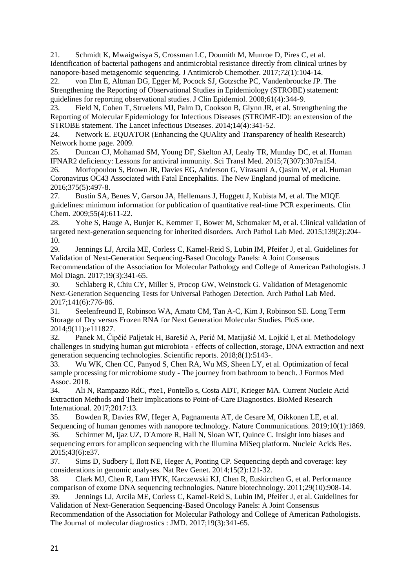21. Schmidt K, Mwaigwisya S, Crossman LC, Doumith M, Munroe D, Pires C, et al. Identification of bacterial pathogens and antimicrobial resistance directly from clinical urines by nanopore-based metagenomic sequencing. J Antimicrob Chemother. 2017;72(1):104-14.

22. von Elm E, Altman DG, Egger M, Pocock SJ, Gotzsche PC, Vandenbroucke JP. The Strengthening the Reporting of Observational Studies in Epidemiology (STROBE) statement: guidelines for reporting observational studies. J Clin Epidemiol. 2008;61(4):344-9.

23. Field N, Cohen T, Struelens MJ, Palm D, Cookson B, Glynn JR, et al. Strengthening the Reporting of Molecular Epidemiology for Infectious Diseases (STROME-ID): an extension of the STROBE statement. The Lancet Infectious Diseases. 2014;14(4):341-52.

24. Network E. EQUATOR (Enhancing the QUAlity and Transparency of health Research) Network home page. 2009.

25. Duncan CJ, Mohamad SM, Young DF, Skelton AJ, Leahy TR, Munday DC, et al. Human IFNAR2 deficiency: Lessons for antiviral immunity. Sci Transl Med. 2015;7(307):307ra154.

26. Morfopoulou S, Brown JR, Davies EG, Anderson G, Virasami A, Qasim W, et al. Human Coronavirus OC43 Associated with Fatal Encephalitis. The New England journal of medicine. 2016;375(5):497-8.

27. Bustin SA, Benes V, Garson JA, Hellemans J, Huggett J, Kubista M, et al. The MIQE guidelines: minimum information for publication of quantitative real-time PCR experiments. Clin Chem. 2009;55(4):611-22.

28. Yohe S, Hauge A, Bunjer K, Kemmer T, Bower M, Schomaker M, et al. Clinical validation of targeted next-generation sequencing for inherited disorders. Arch Pathol Lab Med. 2015;139(2):204- 10.

29. Jennings LJ, Arcila ME, Corless C, Kamel-Reid S, Lubin IM, Pfeifer J, et al. Guidelines for Validation of Next-Generation Sequencing-Based Oncology Panels: A Joint Consensus Recommendation of the Association for Molecular Pathology and College of American Pathologists. J Mol Diagn. 2017;19(3):341-65.

30. Schlaberg R, Chiu CY, Miller S, Procop GW, Weinstock G. Validation of Metagenomic Next-Generation Sequencing Tests for Universal Pathogen Detection. Arch Pathol Lab Med. 2017;141(6):776-86.

31. Seelenfreund E, Robinson WA, Amato CM, Tan A-C, Kim J, Robinson SE. Long Term Storage of Dry versus Frozen RNA for Next Generation Molecular Studies. PloS one. 2014;9(11):e111827.

32. Panek M, Čipčić Paljetak H, Barešić A, Perić M, Matijašić M, Lojkić I, et al. Methodology challenges in studying human gut microbiota - effects of collection, storage, DNA extraction and next generation sequencing technologies. Scientific reports. 2018;8(1):5143-.

33. Wu WK, Chen CC, Panyod S, Chen RA, Wu MS, Sheen LY, et al. Optimization of fecal sample processing for microbiome study - The journey from bathroom to bench. J Formos Med Assoc. 2018.

34. Ali N, Rampazzo RdC, #xe1, Pontello s, Costa ADT, Krieger MA. Current Nucleic Acid Extraction Methods and Their Implications to Point-of-Care Diagnostics. BioMed Research International. 2017;2017:13.

35. Bowden R, Davies RW, Heger A, Pagnamenta AT, de Cesare M, Oikkonen LE, et al. Sequencing of human genomes with nanopore technology. Nature Communications. 2019;10(1):1869. 36. Schirmer M, Ijaz UZ, D'Amore R, Hall N, Sloan WT, Quince C. Insight into biases and sequencing errors for amplicon sequencing with the Illumina MiSeq platform. Nucleic Acids Res. 2015;43(6):e37.

37. Sims D, Sudbery I, Ilott NE, Heger A, Ponting CP. Sequencing depth and coverage: key considerations in genomic analyses. Nat Rev Genet. 2014;15(2):121-32.

38. Clark MJ, Chen R, Lam HYK, Karczewski KJ, Chen R, Euskirchen G, et al. Performance comparison of exome DNA sequencing technologies. Nature biotechnology. 2011;29(10):908-14. 39. Jennings LJ, Arcila ME, Corless C, Kamel-Reid S, Lubin IM, Pfeifer J, et al. Guidelines for

Validation of Next-Generation Sequencing-Based Oncology Panels: A Joint Consensus Recommendation of the Association for Molecular Pathology and College of American Pathologists. The Journal of molecular diagnostics : JMD. 2017;19(3):341-65.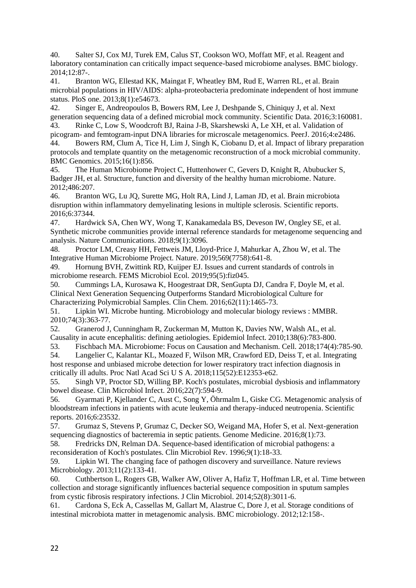40. Salter SJ, Cox MJ, Turek EM, Calus ST, Cookson WO, Moffatt MF, et al. Reagent and laboratory contamination can critically impact sequence-based microbiome analyses. BMC biology. 2014;12:87-.

41. Branton WG, Ellestad KK, Maingat F, Wheatley BM, Rud E, Warren RL, et al. Brain microbial populations in HIV/AIDS: alpha-proteobacteria predominate independent of host immune status. PloS one. 2013;8(1):e54673.

42. Singer E, Andreopoulos B, Bowers RM, Lee J, Deshpande S, Chiniquy J, et al. Next generation sequencing data of a defined microbial mock community. Scientific Data. 2016;3:160081. 43. Rinke C, Low S, Woodcroft BJ, Raina J-B, Skarshewski A, Le XH, et al. Validation of

picogram- and femtogram-input DNA libraries for microscale metagenomics. PeerJ. 2016;4:e2486. 44. Bowers RM, Clum A, Tice H, Lim J, Singh K, Ciobanu D, et al. Impact of library preparation protocols and template quantity on the metagenomic reconstruction of a mock microbial community. BMC Genomics. 2015;16(1):856.

45. The Human Microbiome Project C, Huttenhower C, Gevers D, Knight R, Abubucker S, Badger JH, et al. Structure, function and diversity of the healthy human microbiome. Nature. 2012;486:207.

46. Branton WG, Lu JQ, Surette MG, Holt RA, Lind J, Laman JD, et al. Brain microbiota disruption within inflammatory demyelinating lesions in multiple sclerosis. Scientific reports. 2016;6:37344.

47. Hardwick SA, Chen WY, Wong T, Kanakamedala BS, Deveson IW, Ongley SE, et al. Synthetic microbe communities provide internal reference standards for metagenome sequencing and analysis. Nature Communications. 2018;9(1):3096.

48. Proctor LM, Creasy HH, Fettweis JM, Lloyd-Price J, Mahurkar A, Zhou W, et al. The Integrative Human Microbiome Project. Nature. 2019;569(7758):641-8.

49. Hornung BVH, Zwittink RD, Kuijper EJ. Issues and current standards of controls in microbiome research. FEMS Microbiol Ecol. 2019;95(5):fiz045.

50. Cummings LA, Kurosawa K, Hoogestraat DR, SenGupta DJ, Candra F, Doyle M, et al. Clinical Next Generation Sequencing Outperforms Standard Microbiological Culture for Characterizing Polymicrobial Samples. Clin Chem. 2016;62(11):1465-73.

51. Lipkin WI. Microbe hunting. Microbiology and molecular biology reviews : MMBR. 2010;74(3):363-77.

52. Granerod J, Cunningham R, Zuckerman M, Mutton K, Davies NW, Walsh AL, et al. Causality in acute encephalitis: defining aetiologies. Epidemiol Infect. 2010;138(6):783-800.

53. Fischbach MA. Microbiome: Focus on Causation and Mechanism. Cell. 2018;174(4):785-90.

54. Langelier C, Kalantar KL, Moazed F, Wilson MR, Crawford ED, Deiss T, et al. Integrating host response and unbiased microbe detection for lower respiratory tract infection diagnosis in critically ill adults. Proc Natl Acad Sci U S A. 2018;115(52):E12353-e62.

55. Singh VP, Proctor SD, Willing BP. Koch's postulates, microbial dysbiosis and inflammatory bowel disease. Clin Microbiol Infect. 2016;22(7):594-9.

56. Gyarmati P, Kjellander C, Aust C, Song Y, Öhrmalm L, Giske CG. Metagenomic analysis of bloodstream infections in patients with acute leukemia and therapy-induced neutropenia. Scientific reports. 2016;6:23532.

57. Grumaz S, Stevens P, Grumaz C, Decker SO, Weigand MA, Hofer S, et al. Next-generation sequencing diagnostics of bacteremia in septic patients. Genome Medicine. 2016;8(1):73.

58. Fredricks DN, Relman DA. Sequence-based identification of microbial pathogens: a reconsideration of Koch's postulates. Clin Microbiol Rev. 1996;9(1):18-33.

59. Lipkin WI. The changing face of pathogen discovery and surveillance. Nature reviews Microbiology. 2013;11(2):133-41.

60. Cuthbertson L, Rogers GB, Walker AW, Oliver A, Hafiz T, Hoffman LR, et al. Time between collection and storage significantly influences bacterial sequence composition in sputum samples from cystic fibrosis respiratory infections. J Clin Microbiol. 2014;52(8):3011-6.

61. Cardona S, Eck A, Cassellas M, Gallart M, Alastrue C, Dore J, et al. Storage conditions of intestinal microbiota matter in metagenomic analysis. BMC microbiology. 2012;12:158-.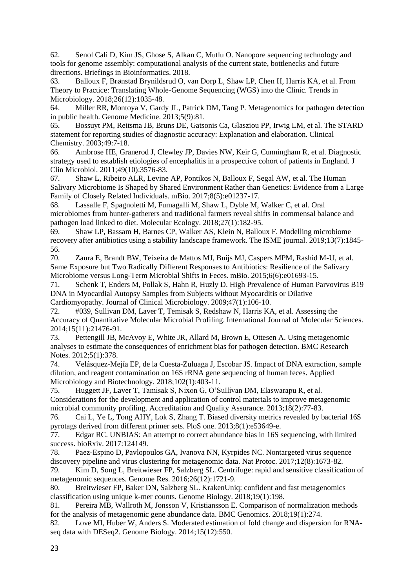62. Senol Cali D, Kim JS, Ghose S, Alkan C, Mutlu O. Nanopore sequencing technology and tools for genome assembly: computational analysis of the current state, bottlenecks and future directions. Briefings in Bioinformatics. 2018.

63. Balloux F, Brønstad Brynildsrud O, van Dorp L, Shaw LP, Chen H, Harris KA, et al. From Theory to Practice: Translating Whole-Genome Sequencing (WGS) into the Clinic. Trends in Microbiology. 2018;26(12):1035-48.

64. Miller RR, Montoya V, Gardy JL, Patrick DM, Tang P. Metagenomics for pathogen detection in public health. Genome Medicine. 2013;5(9):81.

65. Bossuyt PM, Reitsma JB, Bruns DE, Gatsonis Ca, Glasziou PP, Irwig LM, et al. The STARD statement for reporting studies of diagnostic accuracy: Explanation and elaboration. Clinical Chemistry. 2003;49:7-18.

66. Ambrose HE, Granerod J, Clewley JP, Davies NW, Keir G, Cunningham R, et al. Diagnostic strategy used to establish etiologies of encephalitis in a prospective cohort of patients in England. J Clin Microbiol. 2011;49(10):3576-83.

67. Shaw L, Ribeiro ALR, Levine AP, Pontikos N, Balloux F, Segal AW, et al. The Human Salivary Microbiome Is Shaped by Shared Environment Rather than Genetics: Evidence from a Large Family of Closely Related Individuals. mBio. 2017;8(5):e01237-17.

68. Lassalle F, Spagnoletti M, Fumagalli M, Shaw L, Dyble M, Walker C, et al. Oral microbiomes from hunter-gatherers and traditional farmers reveal shifts in commensal balance and pathogen load linked to diet. Molecular Ecology. 2018;27(1):182-95.

69. Shaw LP, Bassam H, Barnes CP, Walker AS, Klein N, Balloux F. Modelling microbiome recovery after antibiotics using a stability landscape framework. The ISME journal. 2019;13(7):1845- 56.

70. Zaura E, Brandt BW, Teixeira de Mattos MJ, Buijs MJ, Caspers MPM, Rashid M-U, et al. Same Exposure but Two Radically Different Responses to Antibiotics: Resilience of the Salivary Microbiome versus Long-Term Microbial Shifts in Feces. mBio. 2015;6(6):e01693-15.

71. Schenk T, Enders M, Pollak S, Hahn R, Huzly D. High Prevalence of Human Parvovirus B19 DNA in Myocardial Autopsy Samples from Subjects without Myocarditis or Dilative Cardiomyopathy. Journal of Clinical Microbiology. 2009;47(1):106-10.

72. #039, Sullivan DM, Laver T, Temisak S, Redshaw N, Harris KA, et al. Assessing the Accuracy of Quantitative Molecular Microbial Profiling. International Journal of Molecular Sciences. 2014;15(11):21476-91.

73. Pettengill JB, McAvoy E, White JR, Allard M, Brown E, Ottesen A. Using metagenomic analyses to estimate the consequences of enrichment bias for pathogen detection. BMC Research Notes. 2012;5(1):378.

74. Velásquez-Mejía EP, de la Cuesta-Zuluaga J, Escobar JS. Impact of DNA extraction, sample dilution, and reagent contamination on 16S rRNA gene sequencing of human feces. Applied Microbiology and Biotechnology. 2018;102(1):403-11.

75. Huggett JF, Laver T, Tamisak S, Nixon G, O'Sullivan DM, Elaswarapu R, et al. Considerations for the development and application of control materials to improve metagenomic microbial community profiling. Accreditation and Quality Assurance. 2013;18(2):77-83.

76. Cai L, Ye L, Tong AHY, Lok S, Zhang T. Biased diversity metrics revealed by bacterial 16S pyrotags derived from different primer sets. PloS one. 2013;8(1):e53649-e.

77. Edgar RC. UNBIAS: An attempt to correct abundance bias in 16S sequencing, with limited success. bioRxiv. 2017:124149.

78. Paez-Espino D, Pavlopoulos GA, Ivanova NN, Kyrpides NC. Nontargeted virus sequence discovery pipeline and virus clustering for metagenomic data. Nat Protoc. 2017;12(8):1673-82.

79. Kim D, Song L, Breitwieser FP, Salzberg SL. Centrifuge: rapid and sensitive classification of metagenomic sequences. Genome Res. 2016;26(12):1721-9.

80. Breitwieser FP, Baker DN, Salzberg SL. KrakenUniq: confident and fast metagenomics classification using unique k-mer counts. Genome Biology. 2018;19(1):198.

81. Pereira MB, Wallroth M, Jonsson V, Kristiansson E. Comparison of normalization methods for the analysis of metagenomic gene abundance data. BMC Genomics. 2018;19(1):274.

82. Love MI, Huber W, Anders S. Moderated estimation of fold change and dispersion for RNAseq data with DESeq2. Genome Biology. 2014;15(12):550.